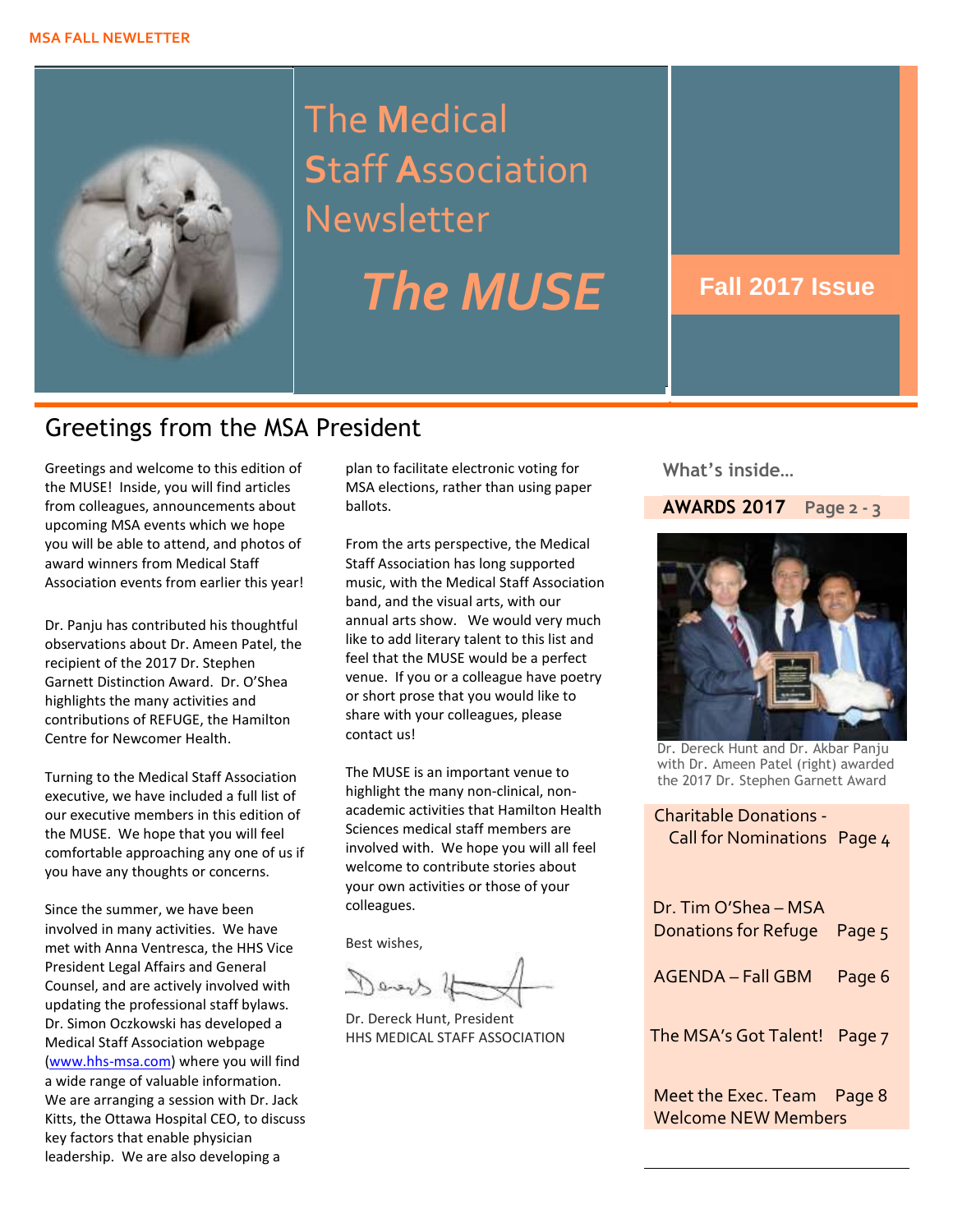

The **M**edical **S**taff **A**ssociation Newsletter

*The MUSE* **Fall 2017 Issue**

# Greetings from the MSA President

Greetings and welcome to this edition of plan to facilitate electronic voting for **What's inside...**<br>the MUSE! Inside, you will find articles MSA elections, rather than using paper the MUSE! Inside, you will find articles from colleagues, announcements about upcoming MSA events which we hope you will be able to attend, and photos of award winners from Medical Staff Association events from earlier this year!

Dr. Panju has contributed his thoughtful observations about Dr. Ameen Patel, the recipient of the 2017 Dr. Stephen Garnett Distinction Award. Dr. O'Shea highlights the many activities and contributions of REFUGE, the Hamilton Centre for Newcomer Health.

Turning to the Medical Staff Association executive, we have included a full list of our executive members in this edition of the MUSE. We hope that you will feel comfortable approaching any one of us if you have any thoughts or concerns.

Since the summer, we have been involved in many activities. We have met with Anna Ventresca, the HHS Vice President Legal Affairs and General Counsel, and are actively involved with updating the professional staff bylaws. Dr. Simon Oczkowski has developed a Medical Staff Association webpage [\(www.hhs-msa.com\)](http://www.hhs-msa.com/) where you will find a wide range of valuable information. We are arranging a session with Dr. Jack Kitts, the Ottawa Hospital CEO, to discuss key factors that enable physician leadership. We are also developing a

plan to facilitate electronic voting for ballots.

From the arts perspective, the Medical Staff Association has long supported music, with the Medical Staff Association band, and the visual arts, with our annual arts show. We would very much like to add literary talent to this list and feel that the MUSE would be a perfect venue. If you or a colleague have poetry or short prose that you would like to share with your colleagues, please contact us!

The MUSE is an important venue to highlight the many non-clinical, nonacademic activities that Hamilton Health Sciences medical staff members are involved with. We hope you will all feel welcome to contribute stories about your own activities or those of your colleagues.

Best wishes,

Devert 4

Dr. Dereck Hunt, President HHS MEDICAL STAFF ASSOCIATION

 **What's inside…**

#### **AWARDS 2017 Page 2 - 3**



Dr. Dereck Hunt and Dr. Akbar Panju with Dr. Ameen Patel (right) awarded the 2017 Dr. Stephen Garnett Award

Charitable Donations - Call for Nominations Page 4

| Dr. Tim O'Shea - MSA<br>Donations for Refuge Page 5 |        |
|-----------------------------------------------------|--------|
| <b>AGENDA - Fall GBM</b>                            | Page 6 |
| The MSA's Got Talent! Page 7                        |        |
| Meet the Exec. Team Page 8                          |        |

Welcome NEW Members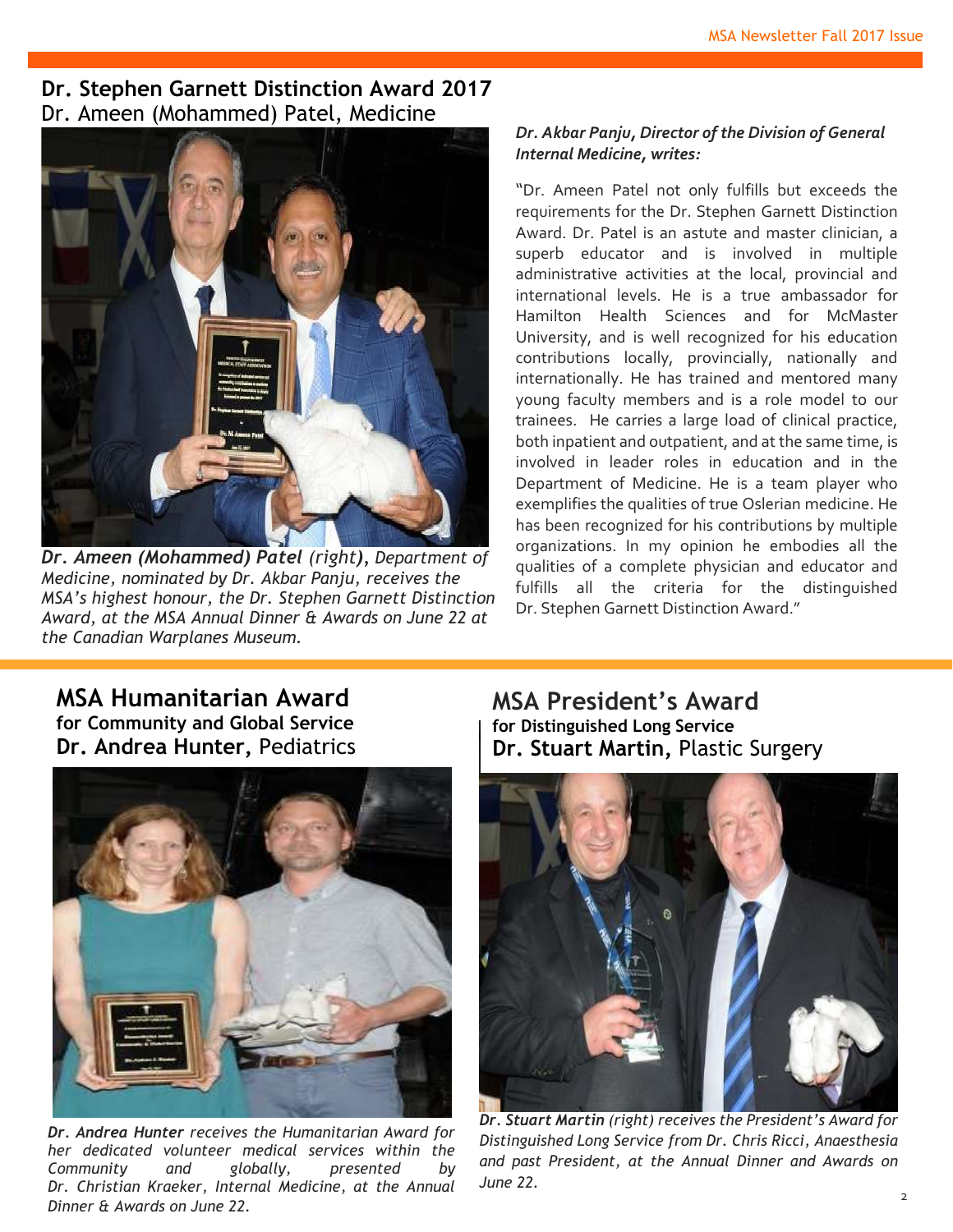## **Dr. Stephen Garnett Distinction Award 2017** Dr. Ameen (Mohammed) Patel, Medicine



*Dr. Ameen (Mohammed) Patel (right), Department of Medicine, nominated by Dr. Akbar Panju, receives the MSA's highest honour, the Dr. Stephen Garnett Distinction Award, at the MSA Annual Dinner & Awards on June 22 at the Canadian Warplanes Museum.*

#### *Dr. Akbar Panju, Director of the Division of General Internal Medicine, writes:*

"Dr. Ameen Patel not only fulfills but exceeds the requirements for the Dr. Stephen Garnett Distinction Award. Dr. Patel is an astute and master clinician, a superb educator and is involved in multiple administrative activities at the local, provincial and international levels. He is a true ambassador for Hamilton Health Sciences and for McMaster University, and is well recognized for his education contributions locally, provincially, nationally and internationally. He has trained and mentored many young faculty members and is a role model to our trainees. He carries a large load of clinical practice, both inpatient and outpatient, and at the same time, is involved in leader roles in education and in the Department of Medicine. He is a team player who exemplifies the qualities of true Oslerian medicine. He has been recognized for his contributions by multiple organizations. In my opinion he embodies all the qualities of a complete physician and educator and fulfills all the criteria for the distinguished Dr. Stephen Garnett Distinction Award."

## **MSA Humanitarian Award for Community and Global Service Dr. Andrea Hunter,** Pediatrics



*Dr. Andrea Hunter receives the Humanitarian Award for her dedicated volunteer medical services within the Community and globally, presented by Dr. Christian Kraeker, Internal Medicine, at the Annual Dinner & Awards on June 22.*

**MSA President's Award for Distinguished Long Service Dr. Stuart Martin,** Plastic Surgery



*Dr. Stuart Martin (right) receives the President's Award for Distinguished Long Service from Dr. Chris Ricci, Anaesthesia and past President, at the Annual Dinner and Awards on June 22.*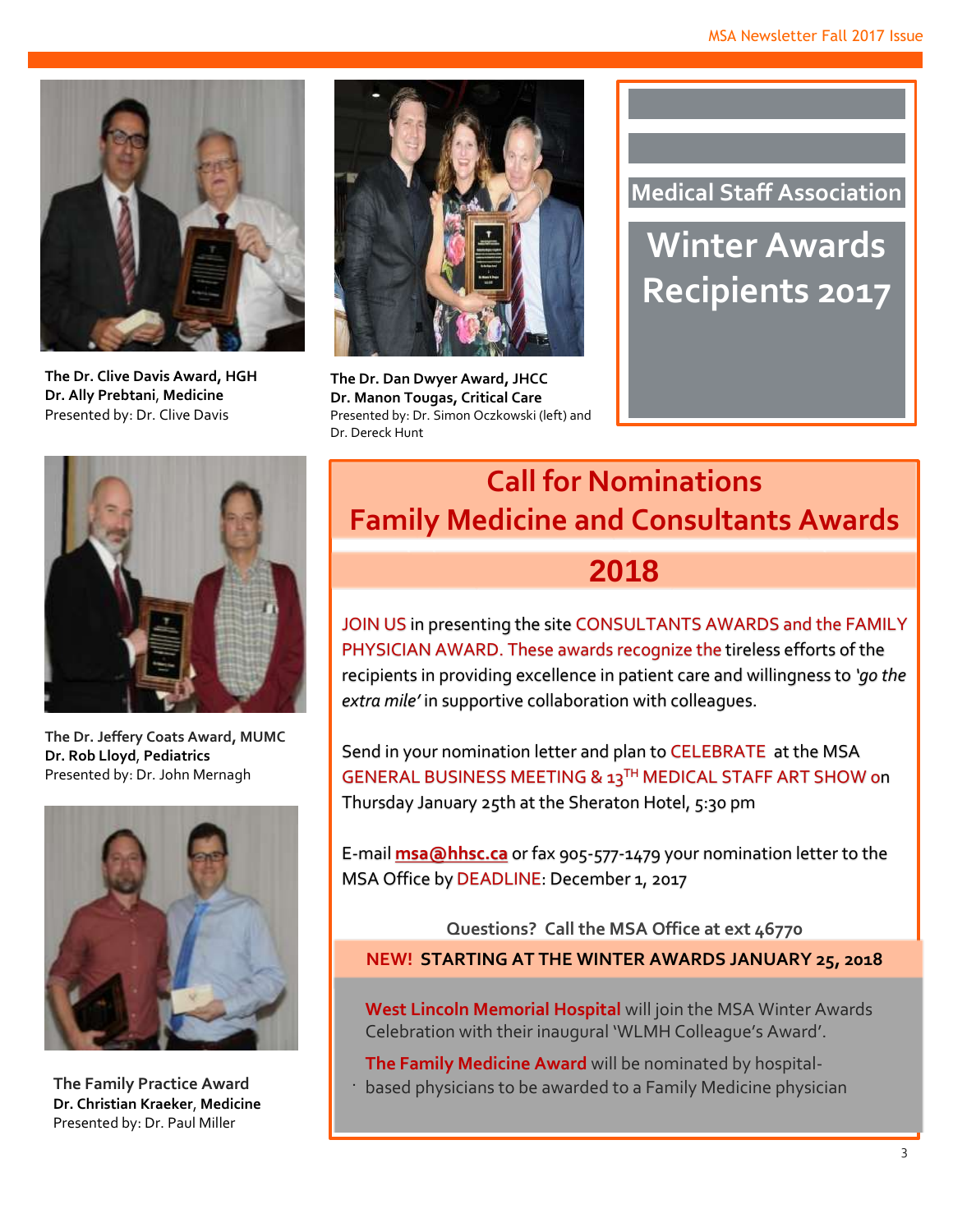

**The Dr. Clive Davis Award, HGH Dr. Ally Prebtani**, **Medicine** Presented by: Dr. Clive Davis



**The Dr. Dan Dwyer Award, JHCC Dr. Manon Tougas, Critical Care** Presented by: Dr. Simon Oczkowski (left) and Dr. Dereck Hunt

**Medical Staff Association**

**Winter Awards Recipients 2017**



**The Dr. Jeffery Coats Award, MUMC Dr. Rob Lloyd**, **Pediatrics**  Presented by: Dr. John Mernagh



**The Family Practice Award Dr. Christian Kraeker**, **Medicine**  Presented by: Dr. Paul Miller

.

# **Call for Nominations Family Medicine and Consultants Awards**

**2018**

JOIN US in presenting the site CONSULTANTS AWARDS and the FAMILY PHYSICIAN AWARD. These awards recognize the tireless efforts of the recipients in providing excellence in patient care and willingness to *'go the extra mile'* in supportive collaboration with colleagues.

 Thursday January 25th at the Sheraton Hotel, 5:30 pm Send in your nomination letter and plan to CELEBRATE at the MSA GENERAL BUSINESS MEETING & 13TH MEDICAL STAFF ART SHOW on

E-mail **[msa@hhsc.ca](mailto:msa@hhsc.ca)** or fax 905-577-1479 your nomination letter to the MSA Office by DEADLINE: December 1, 2017

 **Questions? Call the MSA Office at ext 46770 NEW! STARTING AT THE WINTER AWARDS JANUARY 25, 2018**

**West Lincoln Memorial Hospital** will join the MSA Winter Awards Celebration with their inaugural 'WLMH Colleague's Award'.

**The Family Medicine Award** will be nominated by hospitalbased physicians to be awarded to a Family Medicine physician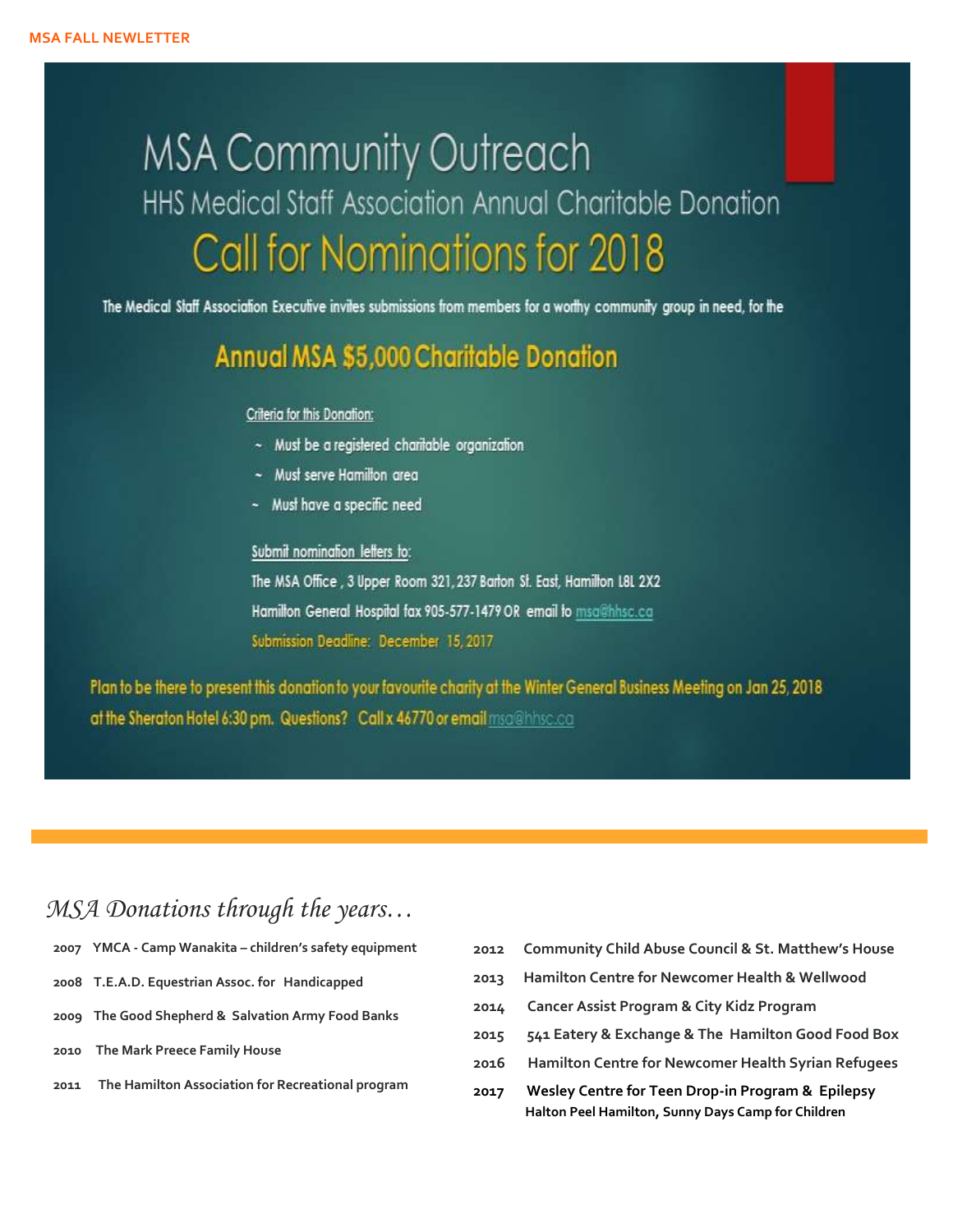# **MSA Community Outreach** HHS Medical Staff Association Annual Charitable Donation **Call for Nominations for 2018**

The Medical Staff Association Executive invites submissions from members for a worthy community group in need, for the

# Annual MSA \$5,000 Charitable Donation

#### Criteria for this Donation:

- ~ Must be a registered charitable organization
- ~ Must serve Hamilton area
- ~ Must have a specific need

#### Submit nomination letters to:

The MSA Office, 3 Upper Room 321, 237 Barton St. East, Hamilton L8L 2X2 Hamilton General Hospital fax 905-577-1479 OR email to msa@hhsc.ca Submission Deadline: December 15, 2017

Plan to be there to present this donation to your favourite charity at the Winter General Business Meeting on Jan 25, 2018 at the Sheraton Hotel 6:30 pm. Questions? Call x 46770 or email msa@hhsc.ca

# *MSA Donations through the years…*

- **2007 YMCA - Camp Wanakita – children's safety equipment**
- **2008 T.E.A.D. Equestrian Assoc. for Handicapped**
- **2009 The Good Shepherd & Salvation Army Food Banks**
- **2010 The Mark Preece Family House**
- **2011 The Hamilton Association for Recreational program**
- **2012 Community Child Abuse Council & St. Matthew's House**
- **2013 Hamilton Centre for Newcomer Health & Wellwood**
- **2014 Cancer Assist Program & City Kidz Program**
- **2015 541 Eatery & Exchange & The Hamilton Good Food Box**
- **2016 Hamilton Centre for Newcomer Health Syrian Refugees**
- **2017 Wesley Centre for Teen Drop-in Program & Epilepsy Halton Peel Hamilton, Sunny Days Camp for Children**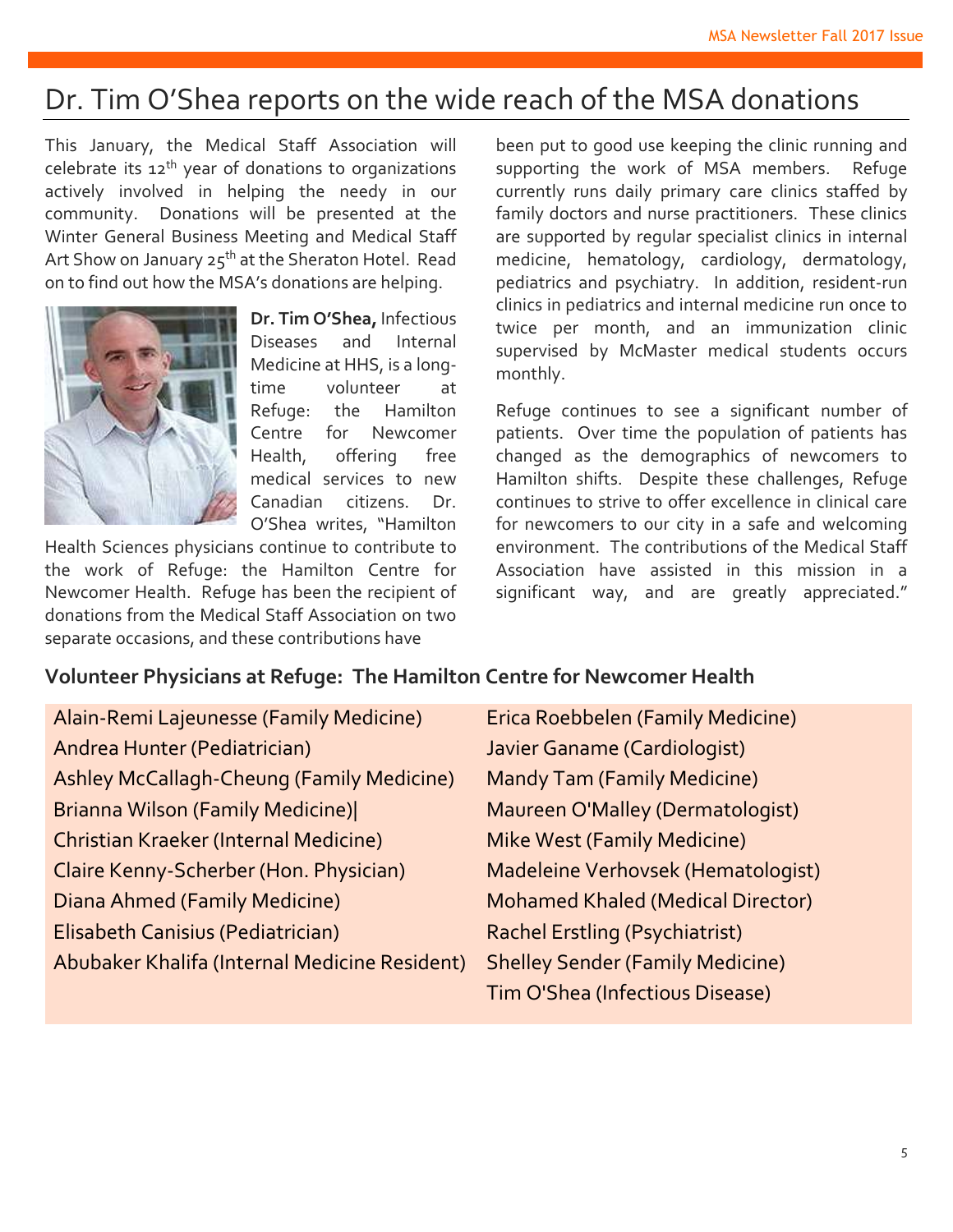# Dr. Tim O'Shea reports on the wide reach of the MSA donations

This January, the Medical Staff Association will celebrate its 12th year of donations to organizations actively involved in helping the needy in our community. Donations will be presented at the Winter General Business Meeting and Medical Staff Art Show on January 25<sup>th</sup> at the Sheraton Hotel. Read on to find out how the MSA's donations are helping.



**Dr. Tim O'Shea,** Infectious Diseases and Internal Medicine at HHS, is a longtime volunteer at Refuge: the Hamilton Centre for Newcomer Health, offering free medical services to new Canadian citizens. Dr. O'Shea writes, "Hamilton

Health Sciences physicians continue to contribute to the work of Refuge: the Hamilton Centre for Newcomer Health. Refuge has been the recipient of donations from the Medical Staff Association on two separate occasions, and these contributions have

been put to good use keeping the clinic running and supporting the work of MSA members. Refuge currently runs daily primary care clinics staffed by family doctors and nurse practitioners. These clinics are supported by regular specialist clinics in internal medicine, hematology, cardiology, dermatology, pediatrics and psychiatry. In addition, resident-run clinics in pediatrics and internal medicine run once to twice per month, and an immunization clinic supervised by McMaster medical students occurs monthly.

Refuge continues to see a significant number of patients. Over time the population of patients has changed as the demographics of newcomers to Hamilton shifts. Despite these challenges, Refuge continues to strive to offer excellence in clinical care for newcomers to our city in a safe and welcoming environment. The contributions of the Medical Staff Association have assisted in this mission in a significant way, and are greatly appreciated."

## **Volunteer Physicians at Refuge: The Hamilton Centre for Newcomer Health**

| Alain-Remi Lajeunesse (Family Medicine)       | Erica Roebbelen (Family Medicine)        |
|-----------------------------------------------|------------------------------------------|
| Andrea Hunter (Pediatrician)                  | Javier Ganame (Cardiologist)             |
| Ashley McCallagh-Cheung (Family Medicine)     | <b>Mandy Tam (Family Medicine)</b>       |
| <b>Brianna Wilson (Family Medicine)</b>       | Maureen O'Malley (Dermatologist)         |
| Christian Kraeker (Internal Medicine)         | <b>Mike West (Family Medicine)</b>       |
| Claire Kenny-Scherber (Hon. Physician)        | Madeleine Verhovsek (Hematologist)       |
| Diana Ahmed (Family Medicine)                 | <b>Mohamed Khaled (Medical Director)</b> |
| Elisabeth Canisius (Pediatrician)             | <b>Rachel Erstling (Psychiatrist)</b>    |
| Abubaker Khalifa (Internal Medicine Resident) | <b>Shelley Sender (Family Medicine)</b>  |
|                                               | Tim O'Shea (Infectious Disease)          |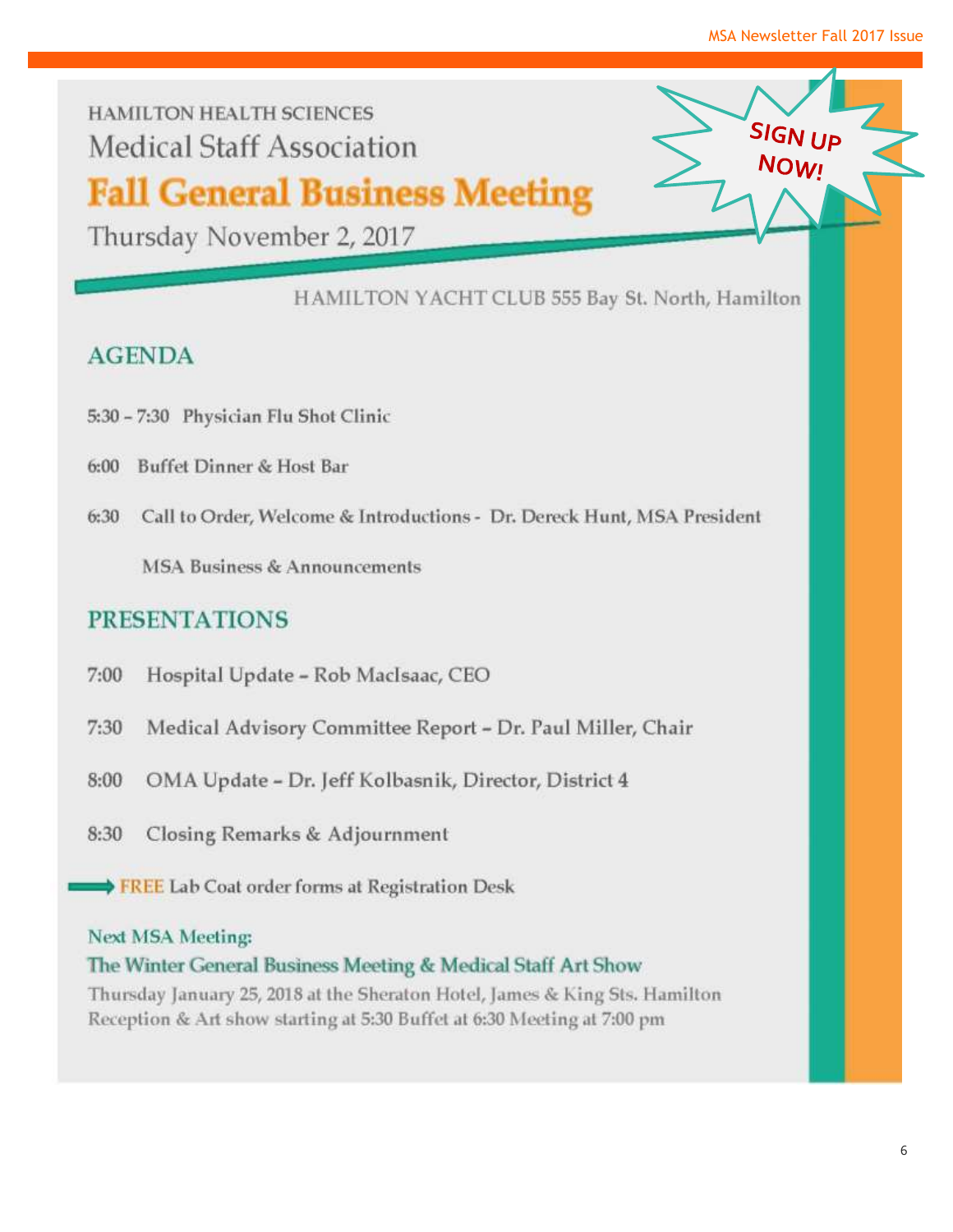**SIGN IID** 

**NOW!** 

**HAMILTON HEALTH SCIENCES Medical Staff Association** 

# **Fall General Business Meeting**

Thursday November 2, 2017

HAMILTON YACHT CLUB 555 Bay St. North, Hamilton

# **AGENDA**

- 5:30 7:30 Physician Flu Shot Clinic
- Buffet Dinner & Host Bar  $6:00$
- Call to Order, Welcome & Introductions Dr. Dereck Hunt, MSA President 6:30

**MSA Business & Announcements** 

## **PRESENTATIONS**

- 7:00 Hospital Update - Rob MacIsaac, CEO
- $7:30$ Medical Advisory Committee Report - Dr. Paul Miller, Chair
- 8:00 OMA Update - Dr. Jeff Kolbasnik, Director, District 4
- 8:30 Closing Remarks & Adjournment
	- ◆ FREE Lab Coat order forms at Registration Desk

#### **Next MSA Meeting:**

#### The Winter General Business Meeting & Medical Staff Art Show

Thursday January 25, 2018 at the Sheraton Hotel, James & King Sts. Hamilton Reception & Art show starting at 5:30 Buffet at 6:30 Meeting at 7:00 pm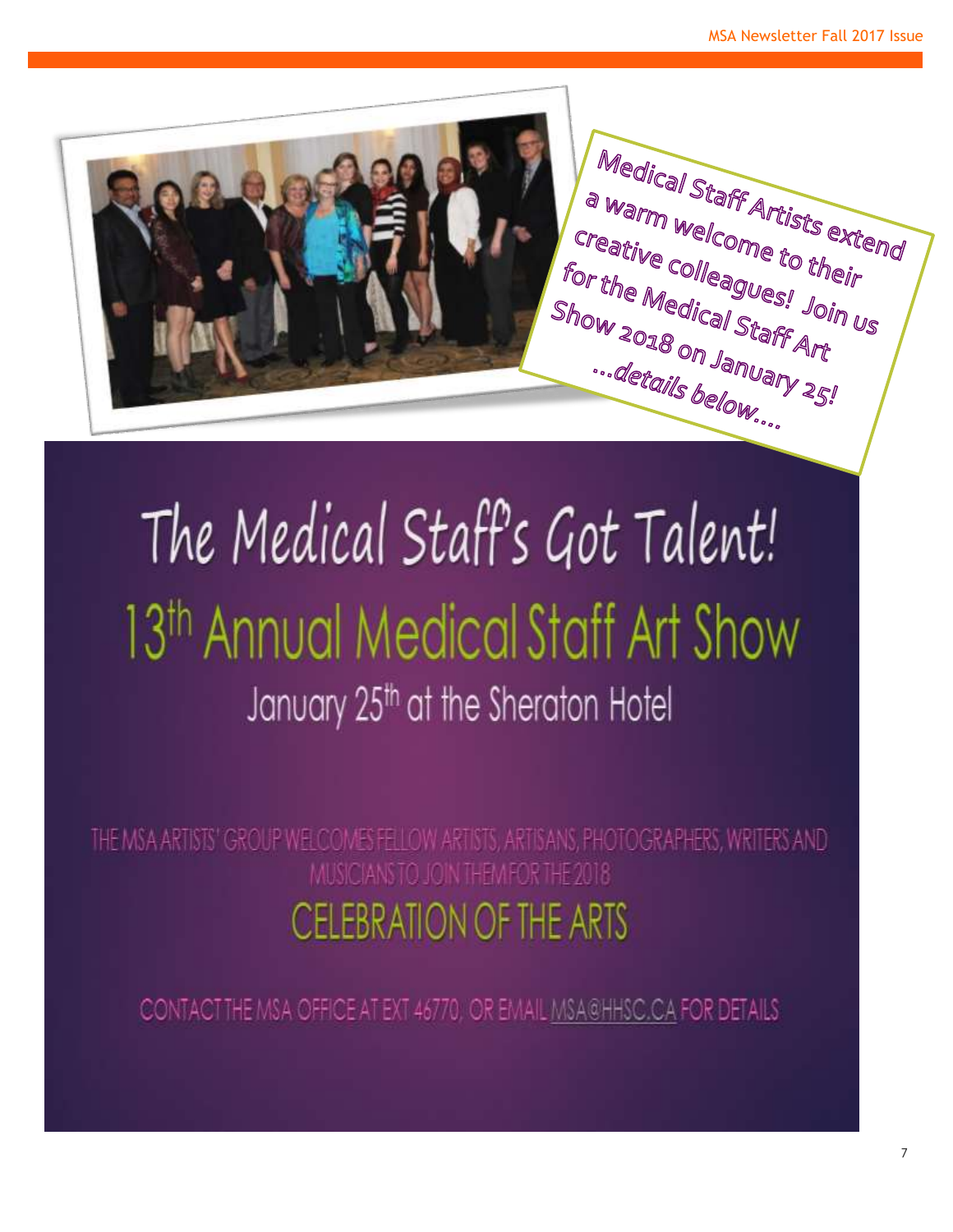

# The Medical Staff's Got Talent! 13<sup>th</sup> Annual Medical Staff Art Show January 25th at the Sheraton Hotel

THE MSA ARTISTS' GROUP WELCOMES FELLOW ARTISTS, ARTISANS, PHOTOGRAPHERS, WRITERS AND MUSICIANS TO JOIN THEM FOR THE 2018 **CELEBRATION OF THE ARTS** 

CONTACTTHE MSA OFFICE AT EXT 46770, OR EMAIL MSA@HHSC.CA FOR DETAILS